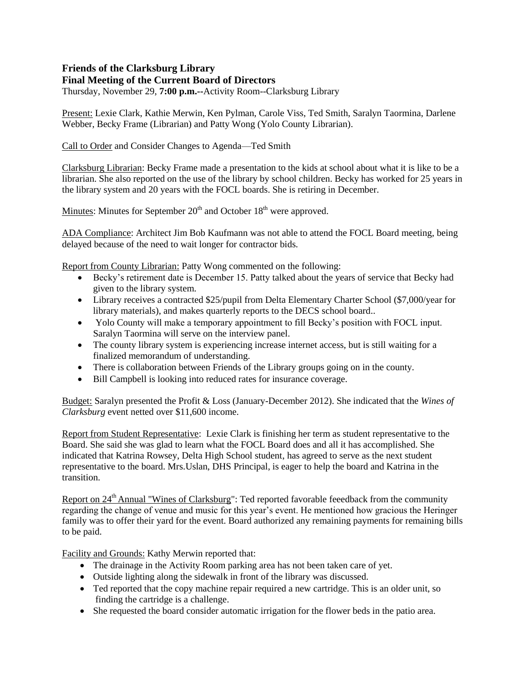## **Friends of the Clarksburg Library Final Meeting of the Current Board of Directors**

Thursday, November 29, **7:00 p.m.--**Activity Room--Clarksburg Library

Present: Lexie Clark, Kathie Merwin, Ken Pylman, Carole Viss, Ted Smith, Saralyn Taormina, Darlene Webber, Becky Frame (Librarian) and Patty Wong (Yolo County Librarian).

Call to Order and Consider Changes to Agenda—Ted Smith

Clarksburg Librarian: Becky Frame made a presentation to the kids at school about what it is like to be a librarian. She also reported on the use of the library by school children. Becky has worked for 25 years in the library system and 20 years with the FOCL boards. She is retiring in December.

Minutes: Minutes for September  $20<sup>th</sup>$  and October 18<sup>th</sup> were approved.

ADA Compliance: Architect Jim Bob Kaufmann was not able to attend the FOCL Board meeting, being delayed because of the need to wait longer for contractor bids.

Report from County Librarian: Patty Wong commented on the following:

- Becky's retirement date is December 15. Patty talked about the years of service that Becky had given to the library system.
- Library receives a contracted \$25/pupil from Delta Elementary Charter School (\$7,000/year for library materials), and makes quarterly reports to the DECS school board..
- Yolo County will make a temporary appointment to fill Becky's position with FOCL input. Saralyn Taormina will serve on the interview panel.
- The county library system is experiencing increase internet access, but is still waiting for a finalized memorandum of understanding.
- There is collaboration between Friends of the Library groups going on in the county.
- Bill Campbell is looking into reduced rates for insurance coverage.

Budget: Saralyn presented the Profit & Loss (January-December 2012). She indicated that the *Wines of Clarksburg* event netted over \$11,600 income.

Report from Student Representative: Lexie Clark is finishing her term as student representative to the Board. She said she was glad to learn what the FOCL Board does and all it has accomplished. She indicated that Katrina Rowsey, Delta High School student, has agreed to serve as the next student representative to the board. Mrs.Uslan, DHS Principal, is eager to help the board and Katrina in the transition.

Report on 24<sup>th</sup> Annual "Wines of Clarksburg": Ted reported favorable feeedback from the community regarding the change of venue and music for this year's event. He mentioned how gracious the Heringer family was to offer their yard for the event. Board authorized any remaining payments for remaining bills to be paid.

Facility and Grounds: Kathy Merwin reported that:

- The drainage in the Activity Room parking area has not been taken care of yet.
- Outside lighting along the sidewalk in front of the library was discussed.
- Ted reported that the copy machine repair required a new cartridge. This is an older unit, so finding the cartridge is a challenge.
- She requested the board consider automatic irrigation for the flower beds in the patio area.